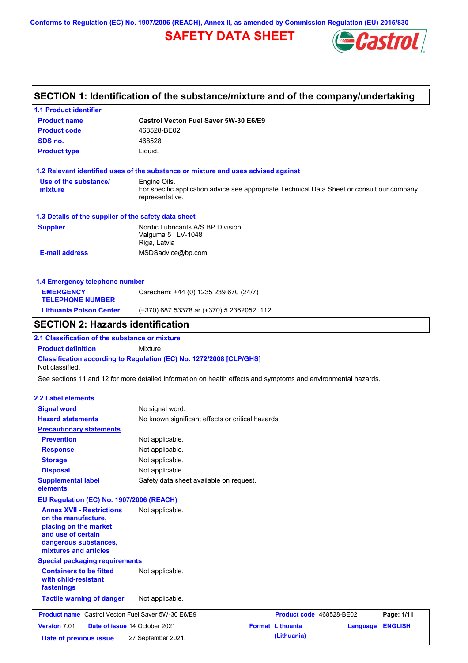**Conforms to Regulation (EC) No. 1907/2006 (REACH), Annex II, as amended by Commission Regulation (EU) 2015/830**

## **SAFETY DATA SHEET**



## **SECTION 1: Identification of the substance/mixture and of the company/undertaking**

**1.1 Product identifier**

| <b>Product name</b>                                                                                                                                      | <b>Castrol Vecton Fuel Saver 5W-30 E6/E9</b>                                                                                   |
|----------------------------------------------------------------------------------------------------------------------------------------------------------|--------------------------------------------------------------------------------------------------------------------------------|
| <b>Product code</b>                                                                                                                                      | 468528-BE02                                                                                                                    |
| SDS no.                                                                                                                                                  | 468528                                                                                                                         |
| <b>Product type</b>                                                                                                                                      | Liquid.                                                                                                                        |
|                                                                                                                                                          | 1.2 Relevant identified uses of the substance or mixture and uses advised against                                              |
| Use of the substance/<br>mixture                                                                                                                         | Engine Oils.<br>For specific application advice see appropriate Technical Data Sheet or consult our company<br>representative. |
| 1.3 Details of the supplier of the safety data sheet                                                                                                     |                                                                                                                                |
| <b>Supplier</b>                                                                                                                                          | Nordic Lubricants A/S BP Division<br>Valguma 5, LV-1048<br>Riga, Latvia                                                        |
| <b>E-mail address</b>                                                                                                                                    | MSDSadvice@bp.com                                                                                                              |
| 1.4 Emergency telephone number                                                                                                                           |                                                                                                                                |
| <b>EMERGENCY</b><br><b>TELEPHONE NUMBER</b>                                                                                                              | Carechem: +44 (0) 1235 239 670 (24/7)                                                                                          |
| <b>Lithuania Poison Center</b>                                                                                                                           | (+370) 687 53378 ar (+370) 5 2362052, 112                                                                                      |
| <b>SECTION 2: Hazards identification</b>                                                                                                                 |                                                                                                                                |
| 2.1 Classification of the substance or mixture                                                                                                           |                                                                                                                                |
| <b>Product definition</b>                                                                                                                                | Mixture                                                                                                                        |
| Not classified.                                                                                                                                          | Classification according to Regulation (EC) No. 1272/2008 [CLP/GHS]                                                            |
|                                                                                                                                                          | See sections 11 and 12 for more detailed information on health effects and symptoms and environmental hazards.                 |
|                                                                                                                                                          |                                                                                                                                |
| <b>2.2 Label elements</b>                                                                                                                                |                                                                                                                                |
| <b>Signal word</b>                                                                                                                                       | No signal word.                                                                                                                |
| <b>Hazard statements</b>                                                                                                                                 | No known significant effects or critical hazards.                                                                              |
| <b>Precautionary statements</b>                                                                                                                          |                                                                                                                                |
| <b>Prevention</b>                                                                                                                                        | Not applicable.                                                                                                                |
| <b>Response</b>                                                                                                                                          | Not applicable.                                                                                                                |
| <b>Storage</b>                                                                                                                                           | Not applicable.                                                                                                                |
| <b>Disposal</b>                                                                                                                                          | Not applicable.                                                                                                                |
| <b>Supplemental label</b><br>elements                                                                                                                    | Safety data sheet available on request.                                                                                        |
| EU Regulation (EC) No. 1907/2006 (REACH)                                                                                                                 |                                                                                                                                |
| <b>Annex XVII - Restrictions</b><br>on the manufacture,<br>placing on the market<br>and use of certain<br>dangerous substances,<br>mixtures and articles | Not applicable.                                                                                                                |
| <b>Special packaging requirements</b>                                                                                                                    |                                                                                                                                |
| <b>Containers to be fitted</b><br>with child-resistant<br>fastenings                                                                                     | Not applicable.                                                                                                                |
| <b>Tactile warning of danger</b>                                                                                                                         | Not applicable.                                                                                                                |
| <b>Product name</b> Castrol Vecton Fuel Saver 5W-30 E6/E9                                                                                                | Product code 468528-BE02<br>Page: 1/11                                                                                         |
| Version 7.01                                                                                                                                             | <b>Format Lithuania</b><br>Date of issue 14 October 2021<br><b>ENGLISH</b><br>Language                                         |
| Date of previous issue                                                                                                                                   | (Lithuania)<br>27 September 2021.                                                                                              |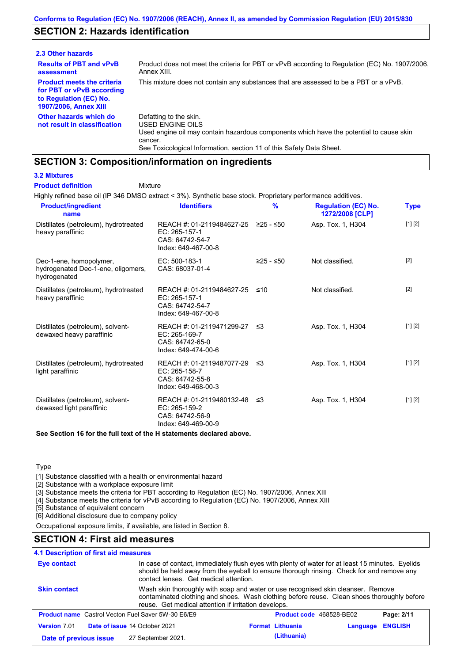## **SECTION 2: Hazards identification**

| 2.3 Other hazards                                                                                                        |                                                                                                                                                                                                                          |
|--------------------------------------------------------------------------------------------------------------------------|--------------------------------------------------------------------------------------------------------------------------------------------------------------------------------------------------------------------------|
| <b>Results of PBT and vPvB</b><br>assessment                                                                             | Product does not meet the criteria for PBT or vPvB according to Regulation (EC) No. 1907/2006.<br>Annex XIII.                                                                                                            |
| <b>Product meets the criteria</b><br>for PBT or vPvB according<br>to Regulation (EC) No.<br><b>1907/2006, Annex XIII</b> | This mixture does not contain any substances that are assessed to be a PBT or a vPvB.                                                                                                                                    |
| Other hazards which do<br>not result in classification                                                                   | Defatting to the skin.<br>USED ENGINE OILS<br>Used engine oil may contain hazardous components which have the potential to cause skin<br>cancer.<br>See Toxicological Information, section 11 of this Safety Data Sheet. |

## **SECTION 3: Composition/information on ingredients**

#### **3.2 Mixtures**

**Product definition**

#### Mixture

Highly refined base oil (IP 346 DMSO extract < 3%). Synthetic base stock. Proprietary performance additives.

| <b>Product/ingredient</b><br>name                                             | <b>Identifiers</b>                                                                      | $\frac{9}{6}$ | <b>Regulation (EC) No.</b><br>1272/2008 [CLP] | <b>Type</b> |
|-------------------------------------------------------------------------------|-----------------------------------------------------------------------------------------|---------------|-----------------------------------------------|-------------|
| Distillates (petroleum), hydrotreated<br>heavy paraffinic                     | REACH #: 01-2119484627-25<br>EC: 265-157-1<br>CAS: 64742-54-7<br>Index: 649-467-00-8    | ≥25 - ≤50     | Asp. Tox. 1, H304                             | [1] [2]     |
| Dec-1-ene, homopolymer,<br>hydrogenated Dec-1-ene, oligomers,<br>hydrogenated | $EC: 500-183-1$<br>CAS: 68037-01-4                                                      | $≥25 - ≤50$   | Not classified.                               | $[2]$       |
| Distillates (petroleum), hydrotreated<br>heavy paraffinic                     | REACH #: 01-2119484627-25<br>EC: 265-157-1<br>CAS: 64742-54-7<br>Index: 649-467-00-8    | ≤10           | Not classified.                               | $[2]$       |
| Distillates (petroleum), solvent-<br>dewaxed heavy paraffinic                 | REACH #: 01-2119471299-27<br>EC: 265-169-7<br>CAS: 64742-65-0<br>Index: 649-474-00-6    | ו≥ ≤          | Asp. Tox. 1, H304                             | [1] [2]     |
| Distillates (petroleum), hydrotreated<br>light paraffinic                     | REACH #: 01-2119487077-29 ≤3<br>EC: 265-158-7<br>CAS: 64742-55-8<br>Index: 649-468-00-3 |               | Asp. Tox. 1, H304                             | [1] [2]     |
| Distillates (petroleum), solvent-<br>dewaxed light paraffinic                 | REACH #: 01-2119480132-48 ≤3<br>EC: 265-159-2<br>CAS: 64742-56-9<br>Index: 649-469-00-9 |               | Asp. Tox. 1, H304                             | [1] [2]     |
|                                                                               |                                                                                         |               |                                               |             |

**See Section 16 for the full text of the H statements declared above.**

### **Type**

[1] Substance classified with a health or environmental hazard

[2] Substance with a workplace exposure limit

[3] Substance meets the criteria for PBT according to Regulation (EC) No. 1907/2006, Annex XIII

[4] Substance meets the criteria for vPvB according to Regulation (EC) No. 1907/2006, Annex XIII

[5] Substance of equivalent concern

[6] Additional disclosure due to company policy

Occupational exposure limits, if available, are listed in Section 8.

## **SECTION 4: First aid measures**

#### **4.1 Description of first aid measures**

| In case of contact, immediately flush eyes with plenty of water for at least 15 minutes. Eyelids<br><b>Eye contact</b><br>should be held away from the eyeball to ensure thorough rinsing. Check for and remove any<br>contact lenses. Get medical attention. |                                                                                                                                                                                                                                        |                         |  |          |                |
|---------------------------------------------------------------------------------------------------------------------------------------------------------------------------------------------------------------------------------------------------------------|----------------------------------------------------------------------------------------------------------------------------------------------------------------------------------------------------------------------------------------|-------------------------|--|----------|----------------|
| <b>Skin contact</b>                                                                                                                                                                                                                                           | Wash skin thoroughly with soap and water or use recognised skin cleanser. Remove<br>contaminated clothing and shoes. Wash clothing before reuse. Clean shoes thoroughly before<br>reuse. Get medical attention if irritation develops. |                         |  |          |                |
| <b>Product name</b> Castrol Vecton Fuel Saver 5W-30 E6/E9<br><b>Product code</b> 468528-BE02<br>Page: 2/11                                                                                                                                                    |                                                                                                                                                                                                                                        |                         |  |          |                |
| <b>Version 7.01</b>                                                                                                                                                                                                                                           | Date of issue 14 October 2021                                                                                                                                                                                                          | <b>Format Lithuania</b> |  | Language | <b>ENGLISH</b> |
| Date of previous issue                                                                                                                                                                                                                                        | 27 September 2021.                                                                                                                                                                                                                     | (Lithuania)             |  |          |                |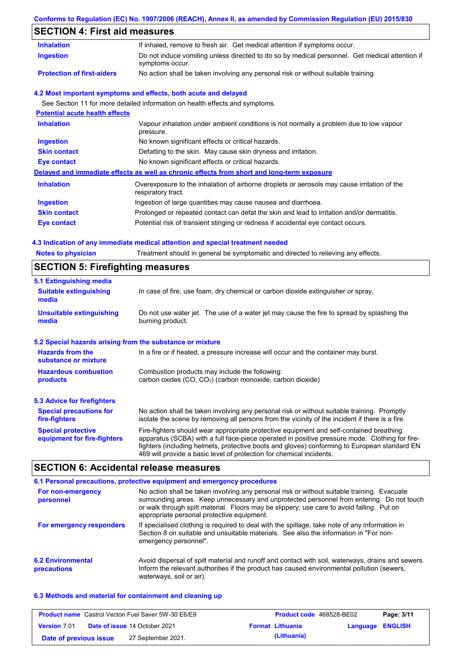#### **Conforms to Regulation (EC) No. 1907/2006 (REACH), Annex II, as amended by Commission Regulation (EU) 2015/830**

## **SECTION 4: First aid measures**

| <b>SECTION 4: First aid measures</b>                                 |                                                                                                                                                                                                                                                                                                                                                                   |
|----------------------------------------------------------------------|-------------------------------------------------------------------------------------------------------------------------------------------------------------------------------------------------------------------------------------------------------------------------------------------------------------------------------------------------------------------|
| <b>Inhalation</b>                                                    | If inhaled, remove to fresh air. Get medical attention if symptoms occur.                                                                                                                                                                                                                                                                                         |
| <b>Ingestion</b>                                                     | Do not induce vomiting unless directed to do so by medical personnel. Get medical attention if<br>symptoms occur.                                                                                                                                                                                                                                                 |
| <b>Protection of first-aiders</b>                                    | No action shall be taken involving any personal risk or without suitable training.                                                                                                                                                                                                                                                                                |
|                                                                      | 4.2 Most important symptoms and effects, both acute and delayed                                                                                                                                                                                                                                                                                                   |
|                                                                      | See Section 11 for more detailed information on health effects and symptoms.                                                                                                                                                                                                                                                                                      |
| <b>Potential acute health effects</b>                                |                                                                                                                                                                                                                                                                                                                                                                   |
| <b>Inhalation</b>                                                    | Vapour inhalation under ambient conditions is not normally a problem due to low vapour<br>pressure.                                                                                                                                                                                                                                                               |
| <b>Ingestion</b>                                                     | No known significant effects or critical hazards.                                                                                                                                                                                                                                                                                                                 |
| <b>Skin contact</b>                                                  | Defatting to the skin. May cause skin dryness and irritation.                                                                                                                                                                                                                                                                                                     |
| <b>Eye contact</b>                                                   | No known significant effects or critical hazards.                                                                                                                                                                                                                                                                                                                 |
|                                                                      | Delayed and immediate effects as well as chronic effects from short and long-term exposure                                                                                                                                                                                                                                                                        |
| <b>Inhalation</b>                                                    | Overexposure to the inhalation of airborne droplets or aerosols may cause irritation of the<br>respiratory tract.                                                                                                                                                                                                                                                 |
| <b>Ingestion</b>                                                     | Ingestion of large quantities may cause nausea and diarrhoea.                                                                                                                                                                                                                                                                                                     |
| <b>Skin contact</b>                                                  | Prolonged or repeated contact can defat the skin and lead to irritation and/or dermatitis.                                                                                                                                                                                                                                                                        |
| <b>Eye contact</b>                                                   | Potential risk of transient stinging or redness if accidental eye contact occurs.                                                                                                                                                                                                                                                                                 |
| <b>Notes to physician</b><br><b>SECTION 5: Firefighting measures</b> | 4.3 Indication of any immediate medical attention and special treatment needed<br>Treatment should in general be symptomatic and directed to relieving any effects.                                                                                                                                                                                               |
| <b>5.1 Extinguishing media</b>                                       |                                                                                                                                                                                                                                                                                                                                                                   |
| <b>Suitable extinguishing</b><br>media                               | In case of fire, use foam, dry chemical or carbon dioxide extinguisher or spray.                                                                                                                                                                                                                                                                                  |
| <b>Unsuitable extinguishing</b><br>media                             | Do not use water jet. The use of a water jet may cause the fire to spread by splashing the<br>burning product.                                                                                                                                                                                                                                                    |
| 5.2 Special hazards arising from the substance or mixture            |                                                                                                                                                                                                                                                                                                                                                                   |
| <b>Hazards from the</b><br>substance or mixture                      | In a fire or if heated, a pressure increase will occur and the container may burst.                                                                                                                                                                                                                                                                               |
| <b>Hazardous combustion</b><br>products                              | Combustion products may include the following:<br>carbon oxides (CO, CO <sub>2</sub> ) (carbon monoxide, carbon dioxide)                                                                                                                                                                                                                                          |
| <b>5.3 Advice for firefighters</b>                                   |                                                                                                                                                                                                                                                                                                                                                                   |
| <b>Special precautions for</b><br>fire-fighters                      | No action shall be taken involving any personal risk or without suitable training. Promptly<br>isolate the scene by removing all persons from the vicinity of the incident if there is a fire.                                                                                                                                                                    |
| <b>Special protective</b><br>equipment for fire-fighters             | Fire-fighters should wear appropriate protective equipment and self-contained breathing<br>apparatus (SCBA) with a full face-piece operated in positive pressure mode. Clothing for fire-<br>fighters (including helmets, protective boots and gloves) conforming to European standard EN<br>469 will provide a basic level of protection for chemical incidents. |

## **SECTION 6: Accidental release measures**

|                                         | 6.1 Personal precautions, protective equipment and emergency procedures                                                                                                                                                                                                                                                             |
|-----------------------------------------|-------------------------------------------------------------------------------------------------------------------------------------------------------------------------------------------------------------------------------------------------------------------------------------------------------------------------------------|
| For non-emergency<br>personnel          | No action shall be taken involving any personal risk or without suitable training. Evacuate<br>surrounding areas. Keep unnecessary and unprotected personnel from entering. Do not touch<br>or walk through spilt material. Floors may be slippery; use care to avoid falling. Put on<br>appropriate personal protective equipment. |
| For emergency responders                | If specialised clothing is required to deal with the spillage, take note of any information in<br>Section 8 on suitable and unsuitable materials. See also the information in "For non-<br>emergency personnel".                                                                                                                    |
| <b>6.2 Environmental</b><br>precautions | Avoid dispersal of spilt material and runoff and contact with soil, waterways, drains and sewers.<br>Inform the relevant authorities if the product has caused environmental pollution (sewers,<br>waterways, soil or air).                                                                                                         |

## **6.3 Methods and material for containment and cleaning up**

| <b>Product name</b> Castrol Vecton Fuel Saver 5W-30 E6/E9 |  | <b>Product code</b> 468528-BE02      |  | Page: 3/11              |                  |  |
|-----------------------------------------------------------|--|--------------------------------------|--|-------------------------|------------------|--|
| <b>Version 7.01</b>                                       |  | <b>Date of issue 14 October 2021</b> |  | <b>Format Lithuania</b> | Language ENGLISH |  |
| Date of previous issue                                    |  | 27 September 2021.                   |  | (Lithuania)             |                  |  |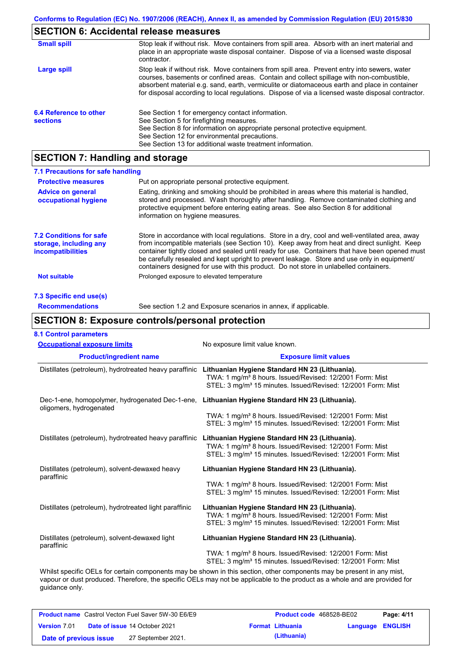## **SECTION 6: Accidental release measures**

| <b>Small spill</b>                        | Stop leak if without risk. Move containers from spill area. Absorb with an inert material and<br>place in an appropriate waste disposal container. Dispose of via a licensed waste disposal<br>contractor.                                                                                                                                                                                     |
|-------------------------------------------|------------------------------------------------------------------------------------------------------------------------------------------------------------------------------------------------------------------------------------------------------------------------------------------------------------------------------------------------------------------------------------------------|
| Large spill                               | Stop leak if without risk. Move containers from spill area. Prevent entry into sewers, water<br>courses, basements or confined areas. Contain and collect spillage with non-combustible,<br>absorbent material e.g. sand, earth, vermiculite or diatomaceous earth and place in container<br>for disposal according to local regulations. Dispose of via a licensed waste disposal contractor. |
| 6.4 Reference to other<br><b>sections</b> | See Section 1 for emergency contact information.<br>See Section 5 for firefighting measures.<br>See Section 8 for information on appropriate personal protective equipment.<br>See Section 12 for environmental precautions.<br>See Section 13 for additional waste treatment information.                                                                                                     |

# **SECTION 7: Handling and storage**

| 7.1 Precautions for safe handling                                                    |                                                                                                                                                                                                                                                                                                                                                                                                                                                                                          |
|--------------------------------------------------------------------------------------|------------------------------------------------------------------------------------------------------------------------------------------------------------------------------------------------------------------------------------------------------------------------------------------------------------------------------------------------------------------------------------------------------------------------------------------------------------------------------------------|
| <b>Protective measures</b>                                                           | Put on appropriate personal protective equipment.                                                                                                                                                                                                                                                                                                                                                                                                                                        |
| <b>Advice on general</b><br>occupational hygiene                                     | Eating, drinking and smoking should be prohibited in areas where this material is handled.<br>stored and processed. Wash thoroughly after handling. Remove contaminated clothing and<br>protective equipment before entering eating areas. See also Section 8 for additional<br>information on hygiene measures.                                                                                                                                                                         |
| <b>7.2 Conditions for safe</b><br>storage, including any<br><i>incompatibilities</i> | Store in accordance with local regulations. Store in a dry, cool and well-ventilated area, away<br>from incompatible materials (see Section 10). Keep away from heat and direct sunlight. Keep<br>container tightly closed and sealed until ready for use. Containers that have been opened must<br>be carefully resealed and kept upright to prevent leakage. Store and use only in equipment/<br>containers designed for use with this product. Do not store in unlabelled containers. |
| Not suitable                                                                         | Prolonged exposure to elevated temperature                                                                                                                                                                                                                                                                                                                                                                                                                                               |
| 7.3 Specific end use(s)                                                              |                                                                                                                                                                                                                                                                                                                                                                                                                                                                                          |
| <b>Recommendations</b>                                                               | See section 1.2 and Exposure scenarios in annex, if applicable.                                                                                                                                                                                                                                                                                                                                                                                                                          |

## **SECTION 8: Exposure controls/personal protection**

| <b>Occupational exposure limits</b>                                        | No exposure limit value known.                                                                                                                                                                     |
|----------------------------------------------------------------------------|----------------------------------------------------------------------------------------------------------------------------------------------------------------------------------------------------|
| <b>Product/ingredient name</b>                                             | <b>Exposure limit values</b>                                                                                                                                                                       |
| Distillates (petroleum), hydrotreated heavy paraffinic                     | Lithuanian Hygiene Standard HN 23 (Lithuania).<br>TWA: 1 mg/m <sup>3</sup> 8 hours. Issued/Revised: 12/2001 Form: Mist<br>STEL: 3 mg/m <sup>3</sup> 15 minutes. Issued/Revised: 12/2001 Form: Mist |
| Dec-1-ene, homopolymer, hydrogenated Dec-1-ene,<br>oligomers, hydrogenated | Lithuanian Hygiene Standard HN 23 (Lithuania).                                                                                                                                                     |
|                                                                            | TWA: 1 mg/m <sup>3</sup> 8 hours. Issued/Revised: 12/2001 Form: Mist<br>STEL: 3 mg/m <sup>3</sup> 15 minutes. Issued/Revised: 12/2001 Form: Mist                                                   |
| Distillates (petroleum), hydrotreated heavy paraffinic                     | Lithuanian Hygiene Standard HN 23 (Lithuania).<br>TWA: 1 mg/m <sup>3</sup> 8 hours. Issued/Revised: 12/2001 Form: Mist<br>STEL: 3 mg/m <sup>3</sup> 15 minutes. Issued/Revised: 12/2001 Form: Mist |
| Distillates (petroleum), solvent-dewaxed heavy<br>paraffinic               | Lithuanian Hygiene Standard HN 23 (Lithuania).                                                                                                                                                     |
|                                                                            | TWA: 1 mg/m <sup>3</sup> 8 hours. Issued/Revised: 12/2001 Form: Mist<br>STEL: 3 mg/m <sup>3</sup> 15 minutes. Issued/Revised: 12/2001 Form: Mist                                                   |
| Distillates (petroleum), hydrotreated light paraffinic                     | Lithuanian Hygiene Standard HN 23 (Lithuania).<br>TWA: 1 mg/m <sup>3</sup> 8 hours. Issued/Revised: 12/2001 Form: Mist<br>STEL: 3 mg/m <sup>3</sup> 15 minutes. Issued/Revised: 12/2001 Form: Mist |
| Distillates (petroleum), solvent-dewaxed light<br>paraffinic               | Lithuanian Hygiene Standard HN 23 (Lithuania).                                                                                                                                                     |
|                                                                            | TWA: 1 mg/m <sup>3</sup> 8 hours. Issued/Revised: 12/2001 Form: Mist<br>STEL: 3 mg/m <sup>3</sup> 15 minutes. Issued/Revised: 12/2001 Form: Mist                                                   |

vapour or dust produced. Therefore, the specific OELs may not be applicable to the product as a whole and are provided for guidance only.

| <b>Product name</b> Castrol Vecton Fuel Saver 5W-30 E6/E9 |  | <b>Product code</b> 468528-BE02      |  | Page: 4/11              |                  |  |
|-----------------------------------------------------------|--|--------------------------------------|--|-------------------------|------------------|--|
| <b>Version 7.01</b>                                       |  | <b>Date of issue 14 October 2021</b> |  | <b>Format Lithuania</b> | Language ENGLISH |  |
| Date of previous issue                                    |  | 27 September 2021.                   |  | (Lithuania)             |                  |  |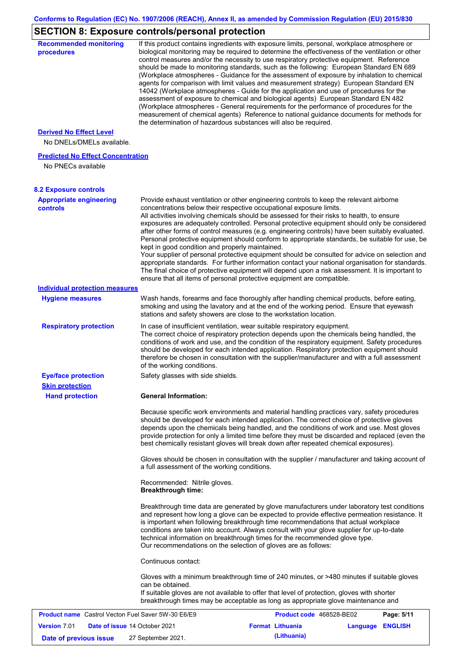# **SECTION 8: Exposure controls/personal protection**

| <b>Recommended monitoring</b><br>procedures                    |                                                           | If this product contains ingredients with exposure limits, personal, workplace atmosphere or<br>biological monitoring may be required to determine the effectiveness of the ventilation or other<br>control measures and/or the necessity to use respiratory protective equipment. Reference<br>should be made to monitoring standards, such as the following: European Standard EN 689<br>(Workplace atmospheres - Guidance for the assessment of exposure by inhalation to chemical<br>agents for comparison with limit values and measurement strategy) European Standard EN<br>14042 (Workplace atmospheres - Guide for the application and use of procedures for the<br>assessment of exposure to chemical and biological agents) European Standard EN 482<br>(Workplace atmospheres - General requirements for the performance of procedures for the<br>measurement of chemical agents) Reference to national guidance documents for methods for<br>the determination of hazardous substances will also be required. |                  |            |
|----------------------------------------------------------------|-----------------------------------------------------------|----------------------------------------------------------------------------------------------------------------------------------------------------------------------------------------------------------------------------------------------------------------------------------------------------------------------------------------------------------------------------------------------------------------------------------------------------------------------------------------------------------------------------------------------------------------------------------------------------------------------------------------------------------------------------------------------------------------------------------------------------------------------------------------------------------------------------------------------------------------------------------------------------------------------------------------------------------------------------------------------------------------------------|------------------|------------|
| <b>Derived No Effect Level</b><br>No DNELs/DMELs available.    |                                                           |                                                                                                                                                                                                                                                                                                                                                                                                                                                                                                                                                                                                                                                                                                                                                                                                                                                                                                                                                                                                                            |                  |            |
| <b>Predicted No Effect Concentration</b><br>No PNECs available |                                                           |                                                                                                                                                                                                                                                                                                                                                                                                                                                                                                                                                                                                                                                                                                                                                                                                                                                                                                                                                                                                                            |                  |            |
| <b>8.2 Exposure controls</b>                                   |                                                           |                                                                                                                                                                                                                                                                                                                                                                                                                                                                                                                                                                                                                                                                                                                                                                                                                                                                                                                                                                                                                            |                  |            |
| <b>Appropriate engineering</b><br><b>controls</b>              | kept in good condition and properly maintained.           | Provide exhaust ventilation or other engineering controls to keep the relevant airborne<br>concentrations below their respective occupational exposure limits.<br>All activities involving chemicals should be assessed for their risks to health, to ensure<br>exposures are adequately controlled. Personal protective equipment should only be considered<br>after other forms of control measures (e.g. engineering controls) have been suitably evaluated.<br>Personal protective equipment should conform to appropriate standards, be suitable for use, be<br>Your supplier of personal protective equipment should be consulted for advice on selection and<br>appropriate standards. For further information contact your national organisation for standards.<br>The final choice of protective equipment will depend upon a risk assessment. It is important to<br>ensure that all items of personal protective equipment are compatible.                                                                       |                  |            |
| <b>Individual protection measures</b>                          |                                                           |                                                                                                                                                                                                                                                                                                                                                                                                                                                                                                                                                                                                                                                                                                                                                                                                                                                                                                                                                                                                                            |                  |            |
| <b>Hygiene measures</b>                                        |                                                           | Wash hands, forearms and face thoroughly after handling chemical products, before eating,<br>smoking and using the lavatory and at the end of the working period. Ensure that eyewash<br>stations and safety showers are close to the workstation location.                                                                                                                                                                                                                                                                                                                                                                                                                                                                                                                                                                                                                                                                                                                                                                |                  |            |
| <b>Respiratory protection</b>                                  | of the working conditions.                                | In case of insufficient ventilation, wear suitable respiratory equipment.<br>The correct choice of respiratory protection depends upon the chemicals being handled, the<br>conditions of work and use, and the condition of the respiratory equipment. Safety procedures<br>should be developed for each intended application. Respiratory protection equipment should<br>therefore be chosen in consultation with the supplier/manufacturer and with a full assessment                                                                                                                                                                                                                                                                                                                                                                                                                                                                                                                                                    |                  |            |
| <b>Eye/face protection</b><br><b>Skin protection</b>           | Safety glasses with side shields.                         |                                                                                                                                                                                                                                                                                                                                                                                                                                                                                                                                                                                                                                                                                                                                                                                                                                                                                                                                                                                                                            |                  |            |
| <b>Hand protection</b>                                         | <b>General Information:</b>                               |                                                                                                                                                                                                                                                                                                                                                                                                                                                                                                                                                                                                                                                                                                                                                                                                                                                                                                                                                                                                                            |                  |            |
|                                                                |                                                           | Because specific work environments and material handling practices vary, safety procedures<br>should be developed for each intended application. The correct choice of protective gloves<br>depends upon the chemicals being handled, and the conditions of work and use. Most gloves<br>provide protection for only a limited time before they must be discarded and replaced (even the<br>best chemically resistant gloves will break down after repeated chemical exposures).                                                                                                                                                                                                                                                                                                                                                                                                                                                                                                                                           |                  |            |
|                                                                | a full assessment of the working conditions.              | Gloves should be chosen in consultation with the supplier / manufacturer and taking account of                                                                                                                                                                                                                                                                                                                                                                                                                                                                                                                                                                                                                                                                                                                                                                                                                                                                                                                             |                  |            |
|                                                                | Recommended: Nitrile gloves.<br><b>Breakthrough time:</b> |                                                                                                                                                                                                                                                                                                                                                                                                                                                                                                                                                                                                                                                                                                                                                                                                                                                                                                                                                                                                                            |                  |            |
|                                                                |                                                           | Breakthrough time data are generated by glove manufacturers under laboratory test conditions<br>and represent how long a glove can be expected to provide effective permeation resistance. It<br>is important when following breakthrough time recommendations that actual workplace<br>conditions are taken into account. Always consult with your glove supplier for up-to-date<br>technical information on breakthrough times for the recommended glove type.<br>Our recommendations on the selection of gloves are as follows:                                                                                                                                                                                                                                                                                                                                                                                                                                                                                         |                  |            |
|                                                                | Continuous contact:                                       |                                                                                                                                                                                                                                                                                                                                                                                                                                                                                                                                                                                                                                                                                                                                                                                                                                                                                                                                                                                                                            |                  |            |
|                                                                | can be obtained.                                          | Gloves with a minimum breakthrough time of 240 minutes, or >480 minutes if suitable gloves<br>If suitable gloves are not available to offer that level of protection, gloves with shorter<br>breakthrough times may be acceptable as long as appropriate glove maintenance and                                                                                                                                                                                                                                                                                                                                                                                                                                                                                                                                                                                                                                                                                                                                             |                  |            |
| <b>Product name</b> Castrol Vecton Fuel Saver 5W-30 E6/E9      |                                                           | Product code 468528-BE02                                                                                                                                                                                                                                                                                                                                                                                                                                                                                                                                                                                                                                                                                                                                                                                                                                                                                                                                                                                                   |                  | Page: 5/11 |
| <b>Version 7.01</b>                                            | Date of issue 14 October 2021                             | <b>Format Lithuania</b>                                                                                                                                                                                                                                                                                                                                                                                                                                                                                                                                                                                                                                                                                                                                                                                                                                                                                                                                                                                                    | Language ENGLISH |            |
| Date of previous issue                                         | 27 September 2021.                                        | (Lithuania)                                                                                                                                                                                                                                                                                                                                                                                                                                                                                                                                                                                                                                                                                                                                                                                                                                                                                                                                                                                                                |                  |            |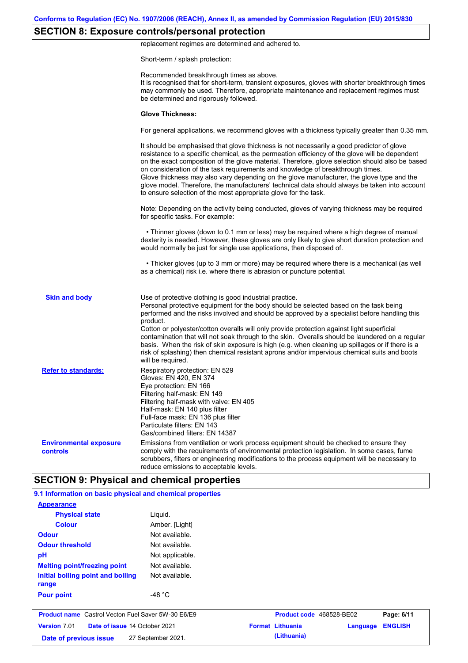# **SECTION 8: Exposure controls/personal protection**

replacement regimes are determined and adhered to.

Short-term / splash protection:

|                                                  | Recommended breakthrough times as above.<br>It is recognised that for short-term, transient exposures, gloves with shorter breakthrough times<br>may commonly be used. Therefore, appropriate maintenance and replacement regimes must<br>be determined and rigorously followed.                                                                                                                                                                                                                                                                                                                                                                                 |
|--------------------------------------------------|------------------------------------------------------------------------------------------------------------------------------------------------------------------------------------------------------------------------------------------------------------------------------------------------------------------------------------------------------------------------------------------------------------------------------------------------------------------------------------------------------------------------------------------------------------------------------------------------------------------------------------------------------------------|
|                                                  | <b>Glove Thickness:</b>                                                                                                                                                                                                                                                                                                                                                                                                                                                                                                                                                                                                                                          |
|                                                  | For general applications, we recommend gloves with a thickness typically greater than 0.35 mm.                                                                                                                                                                                                                                                                                                                                                                                                                                                                                                                                                                   |
|                                                  | It should be emphasised that glove thickness is not necessarily a good predictor of glove<br>resistance to a specific chemical, as the permeation efficiency of the glove will be dependent<br>on the exact composition of the glove material. Therefore, glove selection should also be based<br>on consideration of the task requirements and knowledge of breakthrough times.<br>Glove thickness may also vary depending on the glove manufacturer, the glove type and the<br>glove model. Therefore, the manufacturers' technical data should always be taken into account<br>to ensure selection of the most appropriate glove for the task.                |
|                                                  | Note: Depending on the activity being conducted, gloves of varying thickness may be required<br>for specific tasks. For example:                                                                                                                                                                                                                                                                                                                                                                                                                                                                                                                                 |
|                                                  | • Thinner gloves (down to 0.1 mm or less) may be required where a high degree of manual<br>dexterity is needed. However, these gloves are only likely to give short duration protection and<br>would normally be just for single use applications, then disposed of.                                                                                                                                                                                                                                                                                                                                                                                             |
|                                                  | • Thicker gloves (up to 3 mm or more) may be required where there is a mechanical (as well<br>as a chemical) risk i.e. where there is abrasion or puncture potential.                                                                                                                                                                                                                                                                                                                                                                                                                                                                                            |
| <b>Skin and body</b>                             | Use of protective clothing is good industrial practice.<br>Personal protective equipment for the body should be selected based on the task being<br>performed and the risks involved and should be approved by a specialist before handling this<br>product.<br>Cotton or polyester/cotton overalls will only provide protection against light superficial<br>contamination that will not soak through to the skin. Overalls should be laundered on a regular<br>basis. When the risk of skin exposure is high (e.g. when cleaning up spillages or if there is a<br>risk of splashing) then chemical resistant aprons and/or impervious chemical suits and boots |
| <b>Refer to standards:</b>                       | will be required.<br>Respiratory protection: EN 529<br>Gloves: EN 420, EN 374<br>Eye protection: EN 166<br>Filtering half-mask: EN 149<br>Filtering half-mask with valve: EN 405<br>Half-mask: EN 140 plus filter<br>Full-face mask: EN 136 plus filter<br>Particulate filters: EN 143<br>Gas/combined filters: EN 14387                                                                                                                                                                                                                                                                                                                                         |
| <b>Environmental exposure</b><br><b>controls</b> | Emissions from ventilation or work process equipment should be checked to ensure they<br>comply with the requirements of environmental protection legislation. In some cases, fume<br>scrubbers, filters or engineering modifications to the process equipment will be necessary to<br>reduce emissions to acceptable levels.                                                                                                                                                                                                                                                                                                                                    |
|                                                  | <b>SECTION 9: Physical and chemical properties</b>                                                                                                                                                                                                                                                                                                                                                                                                                                                                                                                                                                                                               |

| Version 7.01<br>Date of issue 14 October 2021<br>Date of previous issue | 27 September 2021. | <b>Format Lithuania</b><br>(Lithuania) | Language | <b>ENGLISH</b> |
|-------------------------------------------------------------------------|--------------------|----------------------------------------|----------|----------------|
| <b>Product name</b> Castrol Vecton Fuel Saver 5W-30 E6/E9               |                    | Product code 468528-BE02               |          | Page: 6/11     |
| <b>Pour point</b>                                                       | -48 $^{\circ}$ C   |                                        |          |                |
| Initial boiling point and boiling<br>range                              | Not available.     |                                        |          |                |
| <b>Melting point/freezing point</b>                                     | Not available.     |                                        |          |                |
| pH                                                                      | Not applicable.    |                                        |          |                |
| <b>Odour threshold</b>                                                  | Not available.     |                                        |          |                |
| <b>Odour</b>                                                            | Not available.     |                                        |          |                |
| <b>Colour</b>                                                           | Amber. [Light]     |                                        |          |                |
| <b>Physical state</b>                                                   | Liquid.            |                                        |          |                |
| <b>Appearance</b>                                                       |                    |                                        |          |                |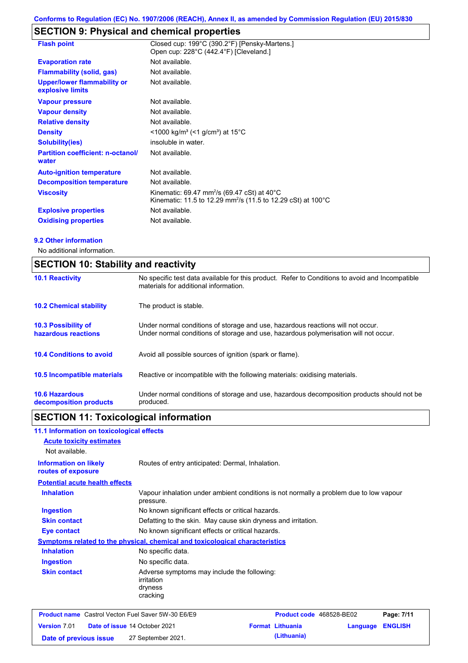# **SECTION 9: Physical and chemical properties**

| <b>Flash point</b>                                     | Closed cup: 199°C (390.2°F) [Pensky-Martens.]<br>Open cup: 228°C (442.4°F) [Cleveland.]                                                         |
|--------------------------------------------------------|-------------------------------------------------------------------------------------------------------------------------------------------------|
| <b>Evaporation rate</b>                                | Not available.                                                                                                                                  |
| <b>Flammability (solid, gas)</b>                       | Not available.                                                                                                                                  |
| <b>Upper/lower flammability or</b><br>explosive limits | Not available.                                                                                                                                  |
| <b>Vapour pressure</b>                                 | Not available.                                                                                                                                  |
| <b>Vapour density</b>                                  | Not available.                                                                                                                                  |
| <b>Relative density</b>                                | Not available.                                                                                                                                  |
| <b>Density</b>                                         | <1000 kg/m <sup>3</sup> (<1 g/cm <sup>3</sup> ) at 15 <sup>°</sup> C                                                                            |
| <b>Solubility(ies)</b>                                 | insoluble in water.                                                                                                                             |
| <b>Partition coefficient: n-octanol/</b><br>water      | Not available.                                                                                                                                  |
| <b>Auto-ignition temperature</b>                       | Not available.                                                                                                                                  |
| <b>Decomposition temperature</b>                       | Not available.                                                                                                                                  |
| <b>Viscosity</b>                                       | Kinematic: 69.47 mm <sup>2</sup> /s (69.47 cSt) at 40 $^{\circ}$ C<br>Kinematic: 11.5 to 12.29 mm <sup>2</sup> /s (11.5 to 12.29 cSt) at 100 °C |
| <b>Explosive properties</b>                            | Not available.                                                                                                                                  |
| <b>Oxidising properties</b>                            | Not available.                                                                                                                                  |

#### **9.2 Other information**

No additional information.

| <b>SECTION 10: Stability and reactivity</b>       |                                                                                                                                                                         |  |  |  |
|---------------------------------------------------|-------------------------------------------------------------------------------------------------------------------------------------------------------------------------|--|--|--|
| <b>10.1 Reactivity</b>                            | No specific test data available for this product. Refer to Conditions to avoid and Incompatible<br>materials for additional information.                                |  |  |  |
| <b>10.2 Chemical stability</b>                    | The product is stable.                                                                                                                                                  |  |  |  |
| <b>10.3 Possibility of</b><br>hazardous reactions | Under normal conditions of storage and use, hazardous reactions will not occur.<br>Under normal conditions of storage and use, hazardous polymerisation will not occur. |  |  |  |
| <b>10.4 Conditions to avoid</b>                   | Avoid all possible sources of ignition (spark or flame).                                                                                                                |  |  |  |
| <b>10.5 Incompatible materials</b>                | Reactive or incompatible with the following materials: oxidising materials.                                                                                             |  |  |  |
| <b>10.6 Hazardous</b><br>decomposition products   | Under normal conditions of storage and use, hazardous decomposition products should not be<br>produced.                                                                 |  |  |  |

# **SECTION 11: Toxicological information**

| 11.1 Information on toxicological effects                 |                                                                                                     |
|-----------------------------------------------------------|-----------------------------------------------------------------------------------------------------|
| <b>Acute toxicity estimates</b>                           |                                                                                                     |
| Not available.                                            |                                                                                                     |
| <b>Information on likely</b><br>routes of exposure        | Routes of entry anticipated: Dermal, Inhalation.                                                    |
| <b>Potential acute health effects</b>                     |                                                                                                     |
| <b>Inhalation</b>                                         | Vapour inhalation under ambient conditions is not normally a problem due to low vapour<br>pressure. |
| <b>Ingestion</b>                                          | No known significant effects or critical hazards.                                                   |
| <b>Skin contact</b>                                       | Defatting to the skin. May cause skin dryness and irritation.                                       |
| <b>Eye contact</b>                                        | No known significant effects or critical hazards.                                                   |
|                                                           | Symptoms related to the physical, chemical and toxicological characteristics                        |
| <b>Inhalation</b>                                         | No specific data.                                                                                   |
| <b>Ingestion</b>                                          | No specific data.                                                                                   |
| <b>Skin contact</b>                                       | Adverse symptoms may include the following:<br>irritation<br>dryness<br>cracking                    |
| <b>Product name</b> Castrol Vecton Fuel Saver 5W-30 E6/E9 | Product code 468528-BE02<br>Page: 7/11                                                              |
| Version 7.01                                              | <b>Format Lithuania</b><br><b>ENGLISH</b><br>Date of issue 14 October 2021<br>Language              |
| Date of previous issue                                    | (Lithuania)<br>27 September 2021.                                                                   |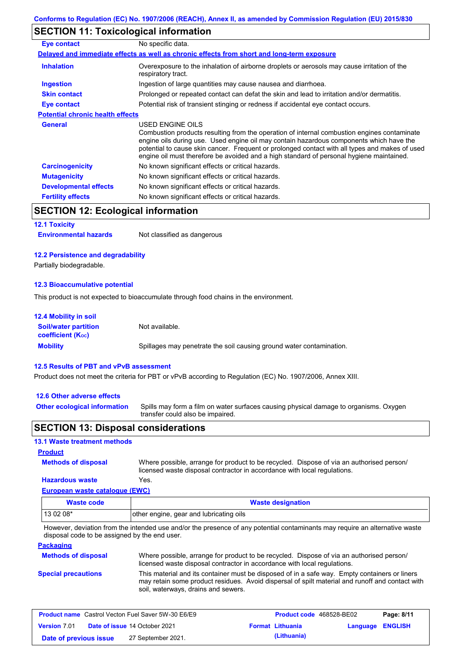## **SECTION 11: Toxicological information**

| Eye contact                             | No specific data.                                                                                                                                                                                                                                                                                                                                                                                        |
|-----------------------------------------|----------------------------------------------------------------------------------------------------------------------------------------------------------------------------------------------------------------------------------------------------------------------------------------------------------------------------------------------------------------------------------------------------------|
|                                         | Delayed and immediate effects as well as chronic effects from short and long-term exposure                                                                                                                                                                                                                                                                                                               |
| <b>Inhalation</b>                       | Overexposure to the inhalation of airborne droplets or aerosols may cause irritation of the<br>respiratory tract.                                                                                                                                                                                                                                                                                        |
| <b>Ingestion</b>                        | Ingestion of large quantities may cause nausea and diarrhoea.                                                                                                                                                                                                                                                                                                                                            |
| <b>Skin contact</b>                     | Prolonged or repeated contact can defat the skin and lead to irritation and/or dermatitis.                                                                                                                                                                                                                                                                                                               |
| Eye contact                             | Potential risk of transient stinging or redness if accidental eye contact occurs.                                                                                                                                                                                                                                                                                                                        |
| <b>Potential chronic health effects</b> |                                                                                                                                                                                                                                                                                                                                                                                                          |
| <b>General</b>                          | USED ENGINE OILS<br>Combustion products resulting from the operation of internal combustion engines contaminate<br>engine oils during use. Used engine oil may contain hazardous components which have the<br>potential to cause skin cancer. Frequent or prolonged contact with all types and makes of used<br>engine oil must therefore be avoided and a high standard of personal hygiene maintained. |
| <b>Carcinogenicity</b>                  | No known significant effects or critical hazards.                                                                                                                                                                                                                                                                                                                                                        |
| <b>Mutagenicity</b>                     | No known significant effects or critical hazards.                                                                                                                                                                                                                                                                                                                                                        |
| <b>Developmental effects</b>            | No known significant effects or critical hazards.                                                                                                                                                                                                                                                                                                                                                        |
| <b>Fertility effects</b>                | No known significant effects or critical hazards.                                                                                                                                                                                                                                                                                                                                                        |

## **SECTION 12: Ecological information**

#### **12.1 Toxicity**

| <b>Environmental hazards</b> | Not classified as dangerous |
|------------------------------|-----------------------------|
|------------------------------|-----------------------------|

#### **12.2 Persistence and degradability**

Partially biodegradable.

#### **12.3 Bioaccumulative potential**

This product is not expected to bioaccumulate through food chains in the environment.

| <b>12.4 Mobility in soil</b>                                  |                                                                      |
|---------------------------------------------------------------|----------------------------------------------------------------------|
| <b>Soil/water partition</b><br>coefficient (K <sub>oc</sub> ) | Not available.                                                       |
| <b>Mobility</b>                                               | Spillages may penetrate the soil causing ground water contamination. |

#### **12.5 Results of PBT and vPvB assessment**

Product does not meet the criteria for PBT or vPvB according to Regulation (EC) No. 1907/2006, Annex XIII.

#### **12.6 Other adverse effects**

**Other ecological information**

**Methods of disposal**

Spills may form a film on water surfaces causing physical damage to organisms. Oxygen transfer could also be impaired.

### **SECTION 13: Disposal considerations**

### **13.1 Waste treatment methods**

#### **Product**

**Hazardous waste** Yes. Where possible, arrange for product to be recycled. Dispose of via an authorised person/ licensed waste disposal contractor in accordance with local regulations.

### **European waste catalogue (EWC)**

| <b>Waste code</b> | <b>Waste designation</b>                |
|-------------------|-----------------------------------------|
| 13 02 08*         | other engine, gear and lubricating oils |

However, deviation from the intended use and/or the presence of any potential contaminants may require an alternative waste disposal code to be assigned by the end user.

#### **Packaging**

| <b>Methods of disposal</b> | Where possible, arrange for product to be recycled. Dispose of via an authorised person/<br>licensed waste disposal contractor in accordance with local regulations.                                                                    |
|----------------------------|-----------------------------------------------------------------------------------------------------------------------------------------------------------------------------------------------------------------------------------------|
| <b>Special precautions</b> | This material and its container must be disposed of in a safe way. Empty containers or liners<br>may retain some product residues. Avoid dispersal of spilt material and runoff and contact with<br>soil, waterways, drains and sewers. |

| <b>Product name</b> Castrol Vecton Fuel Saver 5W-30 E6/E9 |  |                                      | <b>Product code</b> 468528-BE02 |                         | Page: 8/11              |  |
|-----------------------------------------------------------|--|--------------------------------------|---------------------------------|-------------------------|-------------------------|--|
| <b>Version 7.01</b>                                       |  | <b>Date of issue 14 October 2021</b> |                                 | <b>Format Lithuania</b> | <b>Language ENGLISH</b> |  |
| Date of previous issue                                    |  | 27 September 2021.                   |                                 | (Lithuania)             |                         |  |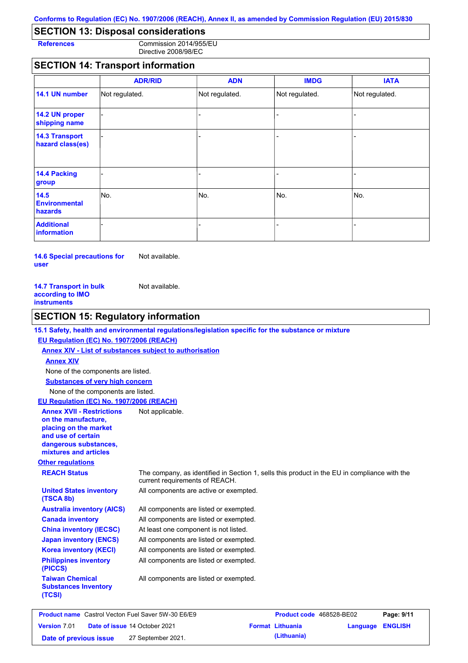## **SECTION 13: Disposal considerations**

**References** Commission 2014/955/EU Directive 2008/98/EC

## **SECTION 14: Transport information**

|                                           | <b>ADR/RID</b> | <b>ADN</b>     | <b>IMDG</b>    | <b>IATA</b>    |
|-------------------------------------------|----------------|----------------|----------------|----------------|
| 14.1 UN number                            | Not regulated. | Not regulated. | Not regulated. | Not regulated. |
| 14.2 UN proper<br>shipping name           |                |                |                |                |
| <b>14.3 Transport</b><br>hazard class(es) |                |                | $\overline{a}$ |                |
| 14.4 Packing<br>group                     |                |                | -              |                |
| 14.5<br><b>Environmental</b><br>hazards   | No.            | No.            | No.            | No.            |
| <b>Additional</b><br>information          |                |                |                |                |

**14.6 Special precautions for user** Not available.

| Not available. |
|----------------|
|                |
|                |
|                |

## **SECTION 15: Regulatory information**

#### **15.1 Safety, health and environmental regulations/legislation specific for the substance or mixture**

#### **EU Regulation (EC) No. 1907/2006 (REACH)**

**Annex XIV - List of substances subject to authorisation Substances of very high concern** None of the components are listed. None of the components are listed. **Annex XIV EU Regulation (EC) No. 1907/2006 (REACH)**

#### **Annex XVII - Restrictions**  Not applicable.

**on the manufacture, placing on the market and use of certain dangerous substances, mixtures and articles**

### **Other regulations**

**(TSCA 8b)**

**(PICCS)**

**(TCSI)**

**Taiwan Chemical Substances Inventory** 

**REACH Status** The company, as identified in Section 1, sells this product in the EU in compliance with the current requirements of REACH.

All components are active or exempted. **United States inventory** 

| <b>Australia inventory (AICS)</b>       | All components are listed or exempted. |
|-----------------------------------------|----------------------------------------|
| <b>Canada inventory</b>                 | All components are listed or exempted. |
| <b>China inventory (IECSC)</b>          | At least one component is not listed.  |
| <b>Japan inventory (ENCS)</b>           | All components are listed or exempted. |
| <b>Korea inventory (KECI)</b>           | All components are listed or exempted. |
| <b>Philippines inventory</b><br>(PICCS) | All components are listed or exempted. |

All components are listed or exempted.

|                        | <b>Product name</b> Castrol Vecton Fuel Saver 5W-30 E6/E9 | <b>Product code</b> 468528-BE02 |                         | Page: 9/11 |
|------------------------|-----------------------------------------------------------|---------------------------------|-------------------------|------------|
| <b>Version 7.01</b>    | <b>Date of issue 14 October 2021</b>                      | <b>Format Lithuania</b>         | <b>Language ENGLISH</b> |            |
| Date of previous issue | 27 September 2021.                                        | (Lithuania)                     |                         |            |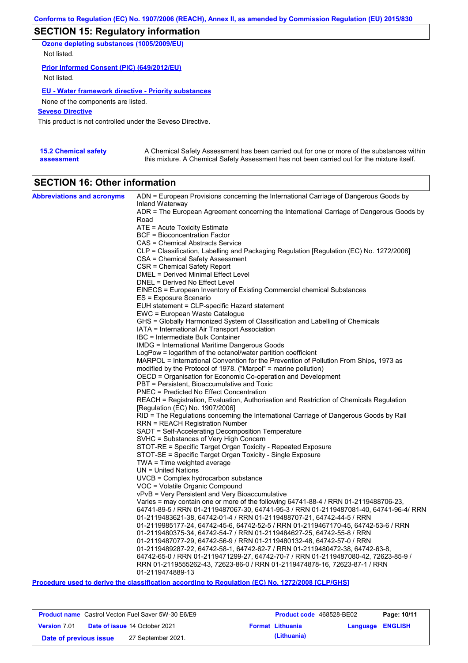## **SECTION 15: Regulatory information**

**Ozone depleting substances (1005/2009/EU)** Not listed.

#### **Prior Informed Consent (PIC) (649/2012/EU)**

Not listed.

### **EU - Water framework directive - Priority substances**

None of the components are listed.

### **Seveso Directive**

This product is not controlled under the Seveso Directive.

| <b>15.2 Chemical safety</b> | A Chemical Safety Assessment has been carried out for one or more of the substances within  |
|-----------------------------|---------------------------------------------------------------------------------------------|
| assessment                  | this mixture. A Chemical Safety Assessment has not been carried out for the mixture itself. |

## **SECTION 16: Other information**

| <b>Abbreviations and acronyms</b> | ADN = European Provisions concerning the International Carriage of Dangerous Goods by<br>Inland Waterway                                                           |
|-----------------------------------|--------------------------------------------------------------------------------------------------------------------------------------------------------------------|
|                                   | ADR = The European Agreement concerning the International Carriage of Dangerous Goods by                                                                           |
|                                   | Road                                                                                                                                                               |
|                                   | $ATE = Acute Toxicity Estimate$                                                                                                                                    |
|                                   | <b>BCF</b> = Bioconcentration Factor                                                                                                                               |
|                                   | CAS = Chemical Abstracts Service                                                                                                                                   |
|                                   | CLP = Classification, Labelling and Packaging Regulation [Regulation (EC) No. 1272/2008]                                                                           |
|                                   | CSA = Chemical Safety Assessment                                                                                                                                   |
|                                   | CSR = Chemical Safety Report                                                                                                                                       |
|                                   | DMEL = Derived Minimal Effect Level                                                                                                                                |
|                                   | DNEL = Derived No Effect Level                                                                                                                                     |
|                                   | EINECS = European Inventory of Existing Commercial chemical Substances                                                                                             |
|                                   | ES = Exposure Scenario                                                                                                                                             |
|                                   | EUH statement = CLP-specific Hazard statement                                                                                                                      |
|                                   | EWC = European Waste Catalogue<br>GHS = Globally Harmonized System of Classification and Labelling of Chemicals                                                    |
|                                   | IATA = International Air Transport Association                                                                                                                     |
|                                   | IBC = Intermediate Bulk Container                                                                                                                                  |
|                                   | IMDG = International Maritime Dangerous Goods                                                                                                                      |
|                                   | LogPow = logarithm of the octanol/water partition coefficient                                                                                                      |
|                                   | MARPOL = International Convention for the Prevention of Pollution From Ships, 1973 as                                                                              |
|                                   | modified by the Protocol of 1978. ("Marpol" = marine pollution)                                                                                                    |
|                                   | OECD = Organisation for Economic Co-operation and Development                                                                                                      |
|                                   | PBT = Persistent, Bioaccumulative and Toxic                                                                                                                        |
|                                   | <b>PNEC = Predicted No Effect Concentration</b>                                                                                                                    |
|                                   | REACH = Registration, Evaluation, Authorisation and Restriction of Chemicals Regulation                                                                            |
|                                   | [Regulation (EC) No. 1907/2006]                                                                                                                                    |
|                                   | RID = The Regulations concerning the International Carriage of Dangerous Goods by Rail                                                                             |
|                                   | RRN = REACH Registration Number                                                                                                                                    |
|                                   | SADT = Self-Accelerating Decomposition Temperature<br>SVHC = Substances of Very High Concern                                                                       |
|                                   | STOT-RE = Specific Target Organ Toxicity - Repeated Exposure                                                                                                       |
|                                   | STOT-SE = Specific Target Organ Toxicity - Single Exposure                                                                                                         |
|                                   | TWA = Time weighted average                                                                                                                                        |
|                                   | $UN = United Nations$                                                                                                                                              |
|                                   | UVCB = Complex hydrocarbon substance                                                                                                                               |
|                                   | VOC = Volatile Organic Compound                                                                                                                                    |
|                                   | vPvB = Very Persistent and Very Bioaccumulative                                                                                                                    |
|                                   | Varies = may contain one or more of the following $64741-88-4$ / RRN 01-2119488706-23,                                                                             |
|                                   | 64741-89-5 / RRN 01-2119487067-30, 64741-95-3 / RRN 01-2119487081-40, 64741-96-4/ RRN                                                                              |
|                                   | 01-2119483621-38, 64742-01-4 / RRN 01-2119488707-21, 64742-44-5 / RRN                                                                                              |
|                                   | 01-2119985177-24, 64742-45-6, 64742-52-5 / RRN 01-2119467170-45, 64742-53-6 / RRN                                                                                  |
|                                   | 01-2119480375-34, 64742-54-7 / RRN 01-2119484627-25, 64742-55-8 / RRN                                                                                              |
|                                   | 01-2119487077-29, 64742-56-9 / RRN 01-2119480132-48, 64742-57-0 / RRN                                                                                              |
|                                   | 01-2119489287-22, 64742-58-1, 64742-62-7 / RRN 01-2119480472-38, 64742-63-8,<br>64742-65-0 / RRN 01-2119471299-27, 64742-70-7 / RRN 01-2119487080-42, 72623-85-9 / |
|                                   | RRN 01-2119555262-43, 72623-86-0 / RRN 01-2119474878-16, 72623-87-1 / RRN                                                                                          |
|                                   | 01-2119474889-13                                                                                                                                                   |
|                                   |                                                                                                                                                                    |

**Procedure used to derive the classification according to Regulation (EC) No. 1272/2008 [CLP/GHS]**

|                        | <b>Product name</b> Castrol Vecton Fuel Saver 5W-30 E6/E9 |                         | <b>Product code</b> 468528-BE02 | Page: 10/11 |
|------------------------|-----------------------------------------------------------|-------------------------|---------------------------------|-------------|
| <b>Version 7.01</b>    | <b>Date of issue 14 October 2021</b>                      | <b>Format Lithuania</b> | <b>Language ENGLISH</b>         |             |
| Date of previous issue | 27 September 2021.                                        | (Lithuania)             |                                 |             |